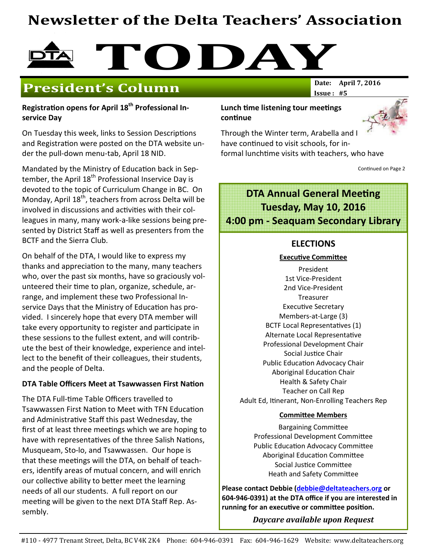# Newsletter of the Delta Teachers' Association



## **President's Column**

Registration opens for April 18<sup>th</sup> Professional Inservice Day

On Tuesday this week, links to Session Descriptions and Registration were posted on the DTA website under the pull-down menu-tab, April 18 NID.

Mandated by the Ministry of Education back in September, the April 18<sup>th</sup> Professional Inservice Day is devoted to the topic of Curriculum Change in BC. On Monday, April 18<sup>th</sup>, teachers from across Delta will be involved in discussions and activities with their colleagues in many, many work-a-like sessions being presented by District Staff as well as presenters from the BCTF and the Sierra Club.

On behalf of the DTA, I would like to express my thanks and appreciation to the many, many teachers who, over the past six months, have so graciously volunteered their time to plan, organize, schedule, arrange, and implement these two Professional Inservice Days that the Ministry of Education has provided. I sincerely hope that every DTA member will take every opportunity to register and participate in these sessions to the fullest extent, and will contribute the best of their knowledge, experience and intellect to the benefit of their colleagues, their students, and the people of Delta.

#### DTA Table Officers Meet at Tsawwassen First Nation

The DTA Full-time Table Officers travelled to Tsawwassen First Nation to Meet with TFN Education and Administrative Staff this past Wednesday, the first of at least three meetings which we are hoping to have with representatives of the three Salish Nations, Musqueam, Sto-lo, and Tsawwassen. Our hope is that these meetings will the DTA, on behalf of teachers, identify areas of mutual concern, and will enrich our collective ability to better meet the learning needs of all our students. A full report on our meeting will be given to the next DTA Staff Rep. Assembly.

#### Lunch time listening tour meetings continue



Through the Winter term, Arabella and I have continued to visit schools, for informal lunchtime visits with teachers, who have

 $Issue: #5$ 

Continued on Page 2

## **DTA Annual General Meeting** Tuesday, May 10, 2016 4:00 pm - Seaquam Secondary Library

#### ELECTIONS

#### **Executive Committee**

President 1st Vice-President 2nd Vice-President **Treasurer** Executive Secretary Members-at-Large (3) BCTF Local Representatives (1) Alternate Local Representative Professional Development Chair Social Justice Chair Public Education Advocacy Chair Aboriginal Education Chair Health & Safety Chair Teacher on Call Rep Adult Ed, Itinerant, Non-Enrolling Teachers Rep

#### **Committee Members**

**Bargaining Committee** Professional Development Committee Public Education Advocacy Committee Aboriginal Education Committee Social Justice Committee Heath and Safety Committee

Please contact Debbie (debbie@deltateachers.org or 604-946-0391) at the DTA office if you are interested in running for an executive or committee position.

Daycare available upon Request